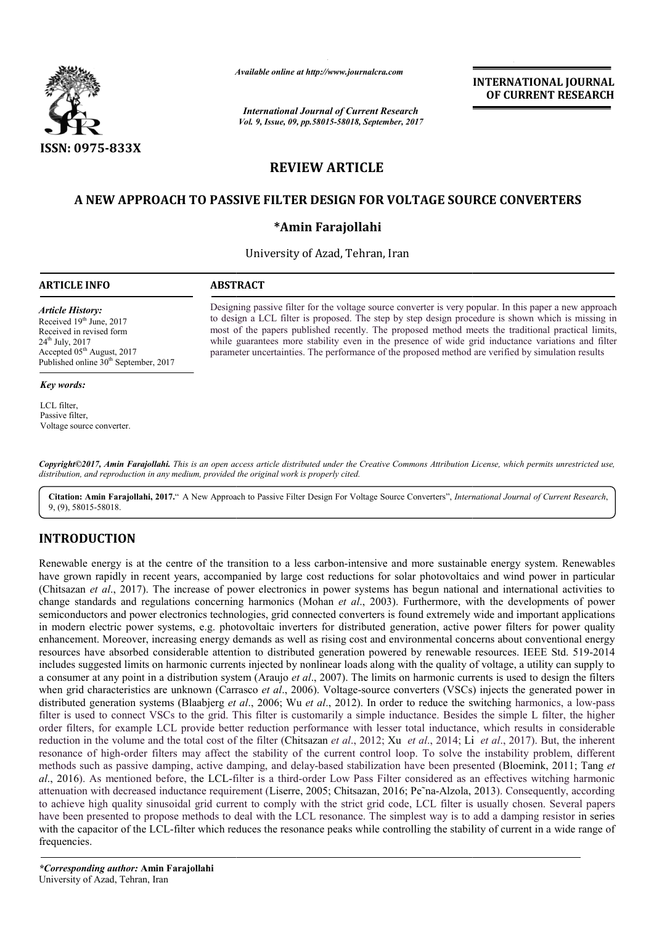

*Available online at http://www.journal http://www.journalcra.com*

*International Journal of Current Research Vol. 9, Issue, 09, pp.58015-58018, September, 2017* **INTERNATIONAL JOURNAL OF CURRENT RESEARCH** 

# **REVIEW ARTICLE**

# **A NEW APPROACH TO PASSIVE FILTER DESIGN FOR VOLTAGE SOURCE CONVERTERS NEW APPROACH FILTER DESIGN**

# **\*Amin Farajollahi**

University of Azad, Tehran, Iran

## **ARTICLE INFO ABSTRACT**

*Article History:*

Received 19<sup>th</sup> June, 2017 Received in revised form 24th July, 2017 Accepted 05<sup>th</sup> August, 2017 Published online  $30<sup>th</sup>$  September, 2017

#### *Key words:*

LCL filter, Passive filter, Voltage source converter. Designing passive filter for the voltage source converter is very popular. In this paper a new approach to design a LCL filter is proposed. The step by step design procedure is shown which is missing in most of the papers published recently. The proposed method meets the traditional practical limits, while guarantees more stability even in the presence of wide grid parameter uncertainties. The performance of the proposed method are verified by simulation results Designing passive filter for the voltage source converter is very popular. In this paper a new approach to design a LCL filter is proposed. The step by step design procedure is shown which is missing in most of the papers

*Copyright©2017, Amin Farajollahi. This is an open access article distributed under the Creative Commons Att Attribution License, which ribution which permits unrestricted use, distribution, and reproduction in any medium, provided the original work is properly cited.*

Citation: Amin Farajollahi, 2017." A New Approach to Passive Filter Design For Voltage Source Converters", *International Journal of Current Research*, 9, (9), 58015-58018.

# **INTRODUCTION**

Renewable energy is at the centre of the transition to a less carbon-intensive and more sustainable energy system. Renewables have grown rapidly in recent years, accompanied by large cost reductions for solar photovoltaics and wind power in particular (Chitsazan *et al*., 2017). The increase of power electronics in power systems has begun national and international activities to change standards and regulations concerning harmonics (Mohan *et al*., 2003). Furthermore, with the developments of power semiconductors and power electronics technologies, grid connected converters is found extremely wide and important applications in modern electric power systems, e.g. photovoltaic inverters for distributed generation, active power filters for power quality enhancement. Moreover, increasing energy demands as well as rising cost and environmental concerns about conventional energy enhancement. Moreover, increasing energy demands as well as rising cost and environmental concerns about conventional energy<br>resources have absorbed considerable attention to distributed generation powered by renewable res includes suggested limits on harmonic currents injected by nonlinear loads along with the quality of voltage, a utility can supply to semiconductors and power electronics technologies, grid connected converters is found extremely wide and important applications<br>in modern electric power systems, e.g. photovoltaic inverters for distributed generation, acti when grid characteristics are unknown (Carrasco *et al.*, 2006). Voltage-source converters (VSCs) injects the generated power in distributed generation systems (Blaabjerg *et al* ., 2006; Wu *et al*., 2012). In order to reduce the switching filter is used to connect VSCs to the grid. This filter is customarily a simple inductance. Besides the simple L filter, the higher order filters, for example LCL provide better reduction performance with lesser total inductance, which results in considerable reduction in the volume and the total cost of the filter (Chitsazan *et al*., 2012; Xu *et al*., 2014; Li Li *et al*., 2017). But, the inherent resonance of high-order filters may affect the stability of the current control loop. To solve the instability problem, different resonance of high-order filters may affect the stability of the current control loop. To solve the instability problem, different methods such as passive damping, active damping, and delay-based stabilization have been pre al., 2016). As mentioned before, the LCL-filter is a third-order Low Pass Filter considered as an effectives witching harmonic attenuation with decreased inductance requirement (Liserre, 2005; Chitsazan, 2016; Pe~na-Alzola, 2013). Consequently, according to achieve high quality sinusoidal grid current to comply with the strict grid code, LCL filter is usually chosen. Several papers to achieve high quality sinusoidal grid current to comply with the strict grid code, LCL filter is usually chosen. Several papers have been presented to propose methods to deal with the LCL resonance. The simplest way is t with the capacitor of the LCL-filter which reduces the resonance peaks while controlling the stability of current in a wide range of frequencies. Renewable energy is at the centre of the transition to a less carbon-intensive and more sustainable energy system. Renewables have grown rapidly in recent years, accompanied by large cost reductions for solar photovoltaics ted limits on harmonic currents injected by nonlinear loads along with the quality of voltage, a utility can supply to<br>ny point in a distribution system (Araujo *et al.*, 2007). The limits on harmonic currents is used to d **INTERNATIONAL JOURNAL**<br> **OF CURRENT RESEARCH**<br> **OF CURRENT RESEARCH**<br> **OF CURRENT RESEARCH**<br> **OF CURRENT RESEARCH**<br> **OURCE CONVERTERS**<br> **OURCE CONVERTERS**<br> **OURCE CONVERTERS**<br> **OURCE CONVERTERS**<br> **OURCE CONVERTERS**<br> **OUR**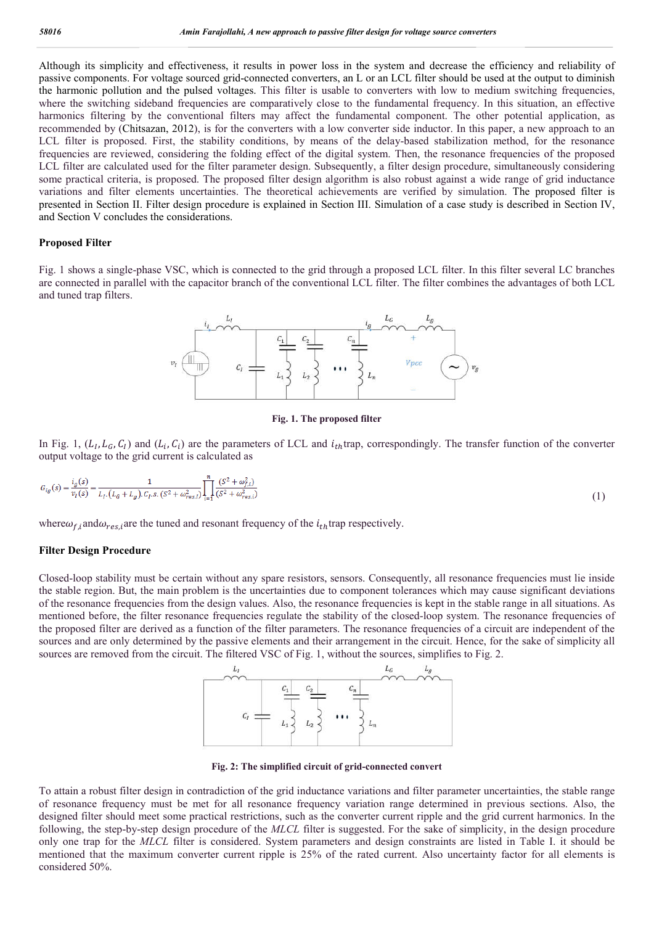Although its simplicity and effectiveness, it results in power loss in the system and decrease the efficiency and reliability of passive components. For voltage sourced grid-connected converters, an L or an LCL filter should be used at the output to diminish the harmonic pollution and the pulsed voltages. This filter is usable to converters with low to medium switching frequencies, where the switching sideband frequencies are comparatively close to the fundamental frequency. In this situation, an effective harmonics filtering by the conventional filters may affect the fundamental component. The other potential application, as recommended by (Chitsazan, 2012), is for the converters with a low converter side inductor. In this paper, a new approach to an LCL filter is proposed. First, the stability conditions, by means of the delay-based stabilization method, for the resonance frequencies are reviewed, considering the folding effect of the digital system. Then, the resonance frequencies of the proposed LCL filter are calculated used for the filter parameter design. Subsequently, a filter design procedure, simultaneously considering some practical criteria, is proposed. The proposed filter design algorithm is also robust against a wide range of grid inductance variations and filter elements uncertainties. The theoretical achievements are verified by simulation. The proposed filter is presented in Section II. Filter design procedure is explained in Section III. Simulation of a case study is described in Section IV, and Section V concludes the considerations.

#### **Proposed Filter**

Fig. 1 shows a single-phase VSC, which is connected to the grid through a proposed LCL filter. In this filter several LC branches are connected in parallel with the capacitor branch of the conventional LCL filter. The filter combines the advantages of both LCL and tuned trap filters.



#### **Fig. 1. The proposed filter**

In Fig. 1,  $(L_I, L_G, C_I)$  and  $(L_i, C_i)$  are the parameters of LCL and  $i_{th}$ trap, correspondingly. The transfer function of the converter output voltage to the grid current is calculated as

$$
G_{ig}(s) = \frac{i_g(s)}{v_I(s)} = \frac{1}{L_I \cdot (L_G + L_g) \cdot C_I \cdot s \cdot (S^2 + \omega_{res,I}^2)} \prod_{i=1}^n \frac{(S^2 + \omega_{fs,i}^2)}{(S^2 + \omega_{res,i}^2)}
$$
(1)

where  $\omega_f$  and  $\omega_{res}$  are the tuned and resonant frequency of the  $i_{th}$  trap respectively.

### **Filter Design Procedure**

Closed-loop stability must be certain without any spare resistors, sensors. Consequently, all resonance frequencies must lie inside the stable region. But, the main problem is the uncertainties due to component tolerances which may cause significant deviations of the resonance frequencies from the design values. Also, the resonance frequencies is kept in the stable range in all situations. As mentioned before, the filter resonance frequencies regulate the stability of the closed-loop system. The resonance frequencies of the proposed filter are derived as a function of the filter parameters. The resonance frequencies of a circuit are independent of the sources and are only determined by the passive elements and their arrangement in the circuit. Hence, for the sake of simplicity all sources are removed from the circuit. The filtered VSC of Fig. 1, without the sources, simplifies to Fig. 2.



**Fig. 2: The simplified circuit of grid-connected convert**

To attain a robust filter design in contradiction of the grid inductance variations and filter parameter uncertainties, the stable range of resonance frequency must be met for all resonance frequency variation range determined in previous sections. Also, the designed filter should meet some practical restrictions, such as the converter current ripple and the grid current harmonics. In the following, the step-by-step design procedure of the *MLCL* filter is suggested. For the sake of simplicity, in the design procedure only one trap for the *MLCL* filter is considered. System parameters and design constraints are listed in Table I. it should be mentioned that the maximum converter current ripple is 25% of the rated current. Also uncertainty factor for all elements is considered 50%.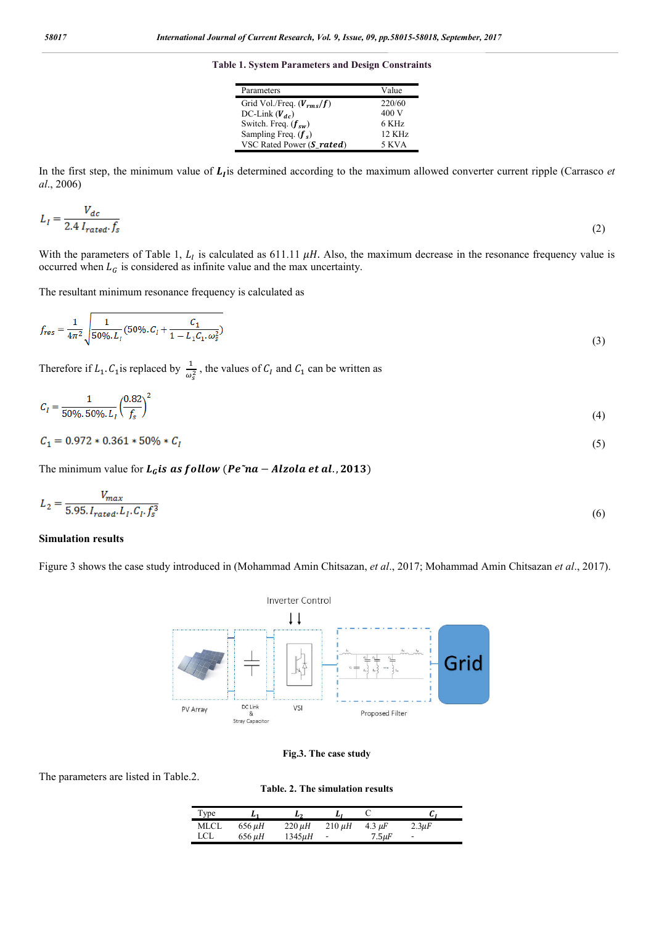**Table 1. System Parameters and Design Constraints**

| Parameters                    | Value            |
|-------------------------------|------------------|
| Grid Vol./Freq. $(V_{rms}/f)$ | 220/60           |
| DC-Link $(V_{dc})$            | 400 V            |
| Switch. Freq. $(f_{sw})$      | 6 KHz            |
| Sampling Freq. $(f_s)$        | $12 \text{ KHz}$ |
| VSC Rated Power (S rated)     | 5 KVA            |

In the first step, the minimum value of  $L<sub>I</sub>$  is determined according to the maximum allowed converter current ripple (Carrasco *et al*., 2006)

$$
L_I = \frac{V_{dc}}{2.4 I_{rated} \cdot f_s} \tag{2}
$$

With the parameters of Table 1,  $L<sub>I</sub>$  is calculated as 611.11  $\mu$ H. Also, the maximum decrease in the resonance frequency value is occurred when  $L_G$  is considered as infinite value and the max uncertainty.

The resultant minimum resonance frequency is calculated as

$$
f_{res} = \frac{1}{4\pi^2} \sqrt{\frac{1}{50\% \cdot L_I} (50\% \cdot C_I + \frac{C_1}{1 - L_1 C_1 \cdot \omega_s^2})}
$$
(3)

Therefore if  $L_1$ .  $C_1$  is replaced by  $\frac{1}{\omega_s^2}$ , the values of  $C_I$  and  $C_1$  can be written as

$$
C_I = \frac{1}{50\% \cdot 50\% \cdot L_I} \left(\frac{0.82}{f_s}\right)^2\tag{4}
$$

$$
C_1 = 0.972 \times 0.361 \times 50\% \times C_I
$$
\n<sup>(5)</sup>

The minimum value for  $L<sub>G</sub>$ is as follow (Pe $\tilde{r}$ na – Alzola et al., 2013)

$$
L_2 = \frac{V_{max}}{5.95. I_{rated}. L_I. C_I. f_s^3}
$$
\n
$$
\tag{6}
$$

## **Simulation results**

Figure 3 shows the case study introduced in (Mohammad Amin Chitsazan, *et al*., 2017; Mohammad Amin Chitsazan *et al*., 2017).



## **Fig.3. The case study**

The parameters are listed in Table.2.

**Table. 2. The simulation results**

| Type        |             | L۶          |                          |             | u          |
|-------------|-------------|-------------|--------------------------|-------------|------------|
| <b>MLCL</b> | 656 µH      | $220 \mu H$ | $210 \mu H$              | 4.3 $\mu$ F | $2.3\mu F$ |
| LCL         | $656 \mu H$ | $1345\mu H$ | $\overline{\phantom{a}}$ | $7.5\mu F$  | ۰          |